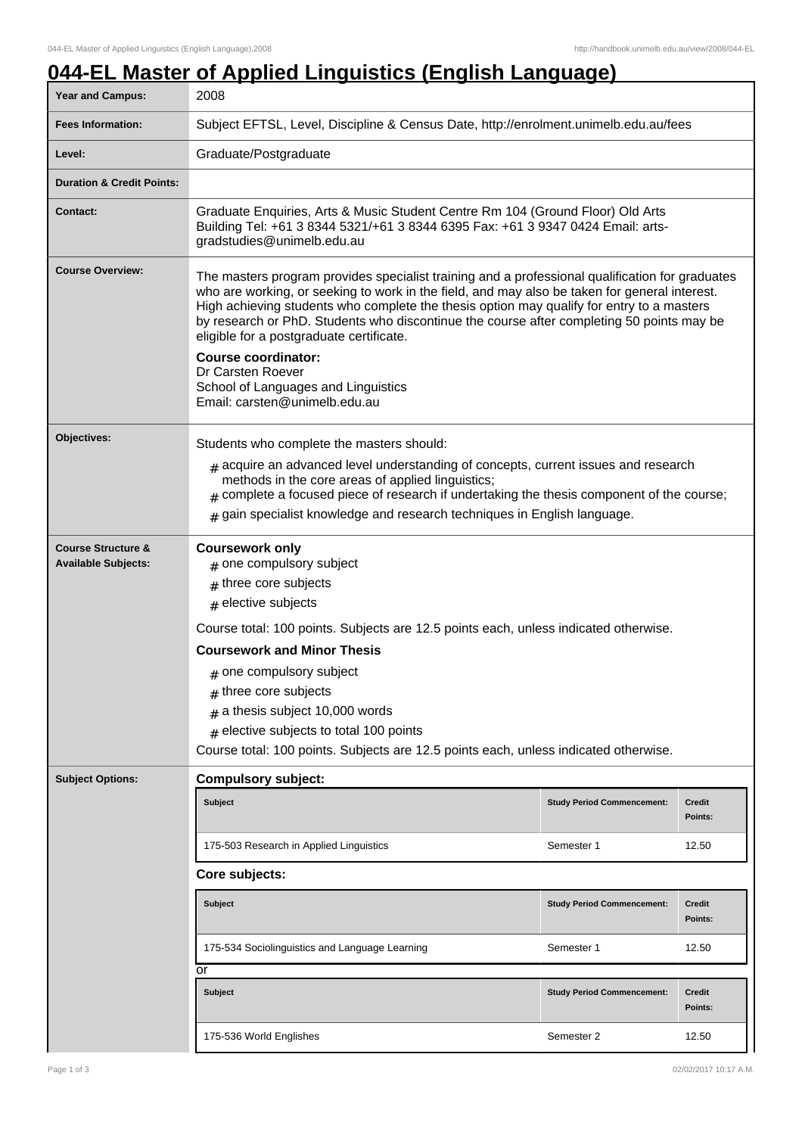## **044-EL Master of Applied Linguistics (English Language)**

| <b>Year and Campus:</b>                                     | 2008                                                                                                                                                                                                                                                                                                                                                                                                                                                                                                                                                              |                                   |                          |
|-------------------------------------------------------------|-------------------------------------------------------------------------------------------------------------------------------------------------------------------------------------------------------------------------------------------------------------------------------------------------------------------------------------------------------------------------------------------------------------------------------------------------------------------------------------------------------------------------------------------------------------------|-----------------------------------|--------------------------|
| <b>Fees Information:</b>                                    | Subject EFTSL, Level, Discipline & Census Date, http://enrolment.unimelb.edu.au/fees                                                                                                                                                                                                                                                                                                                                                                                                                                                                              |                                   |                          |
| Level:                                                      | Graduate/Postgraduate                                                                                                                                                                                                                                                                                                                                                                                                                                                                                                                                             |                                   |                          |
| <b>Duration &amp; Credit Points:</b>                        |                                                                                                                                                                                                                                                                                                                                                                                                                                                                                                                                                                   |                                   |                          |
| <b>Contact:</b>                                             | Graduate Enquiries, Arts & Music Student Centre Rm 104 (Ground Floor) Old Arts<br>Building Tel: +61 3 8344 5321/+61 3 8344 6395 Fax: +61 3 9347 0424 Email: arts-<br>gradstudies@unimelb.edu.au                                                                                                                                                                                                                                                                                                                                                                   |                                   |                          |
| <b>Course Overview:</b>                                     | The masters program provides specialist training and a professional qualification for graduates<br>who are working, or seeking to work in the field, and may also be taken for general interest.<br>High achieving students who complete the thesis option may qualify for entry to a masters<br>by research or PhD. Students who discontinue the course after completing 50 points may be<br>eligible for a postgraduate certificate.<br><b>Course coordinator:</b><br>Dr Carsten Roever<br>School of Languages and Linguistics<br>Email: carsten@unimelb.edu.au |                                   |                          |
| <b>Objectives:</b>                                          | Students who complete the masters should:                                                                                                                                                                                                                                                                                                                                                                                                                                                                                                                         |                                   |                          |
|                                                             | $_{\text{\#}}$ acquire an advanced level understanding of concepts, current issues and research<br>methods in the core areas of applied linguistics;<br>$#$ complete a focused piece of research if undertaking the thesis component of the course;<br>$#$ gain specialist knowledge and research techniques in English language.                                                                                                                                                                                                                                 |                                   |                          |
| <b>Course Structure &amp;</b><br><b>Available Subjects:</b> | <b>Coursework only</b><br>$#$ one compulsory subject<br>$#$ three core subjects<br>$#$ elective subjects<br>Course total: 100 points. Subjects are 12.5 points each, unless indicated otherwise.<br><b>Coursework and Minor Thesis</b><br>$#$ one compulsory subject<br>$#$ three core subjects<br>$#$ a thesis subject 10,000 words<br>$#$ elective subjects to total 100 points<br>Course total: 100 points. Subjects are 12.5 points each, unless indicated otherwise.                                                                                         |                                   |                          |
| <b>Subject Options:</b>                                     | <b>Compulsory subject:</b>                                                                                                                                                                                                                                                                                                                                                                                                                                                                                                                                        |                                   |                          |
|                                                             | <b>Subject</b>                                                                                                                                                                                                                                                                                                                                                                                                                                                                                                                                                    | <b>Study Period Commencement:</b> | Credit<br>Points:        |
|                                                             | 175-503 Research in Applied Linguistics                                                                                                                                                                                                                                                                                                                                                                                                                                                                                                                           | Semester 1                        | 12.50                    |
|                                                             | Core subjects:                                                                                                                                                                                                                                                                                                                                                                                                                                                                                                                                                    |                                   |                          |
|                                                             | <b>Subject</b>                                                                                                                                                                                                                                                                                                                                                                                                                                                                                                                                                    | <b>Study Period Commencement:</b> | <b>Credit</b><br>Points: |
|                                                             | 175-534 Sociolinguistics and Language Learning                                                                                                                                                                                                                                                                                                                                                                                                                                                                                                                    | Semester 1                        | 12.50                    |
|                                                             | or<br><b>Subject</b>                                                                                                                                                                                                                                                                                                                                                                                                                                                                                                                                              | <b>Study Period Commencement:</b> | <b>Credit</b><br>Points: |
|                                                             | 175-536 World Englishes                                                                                                                                                                                                                                                                                                                                                                                                                                                                                                                                           | Semester 2                        | 12.50                    |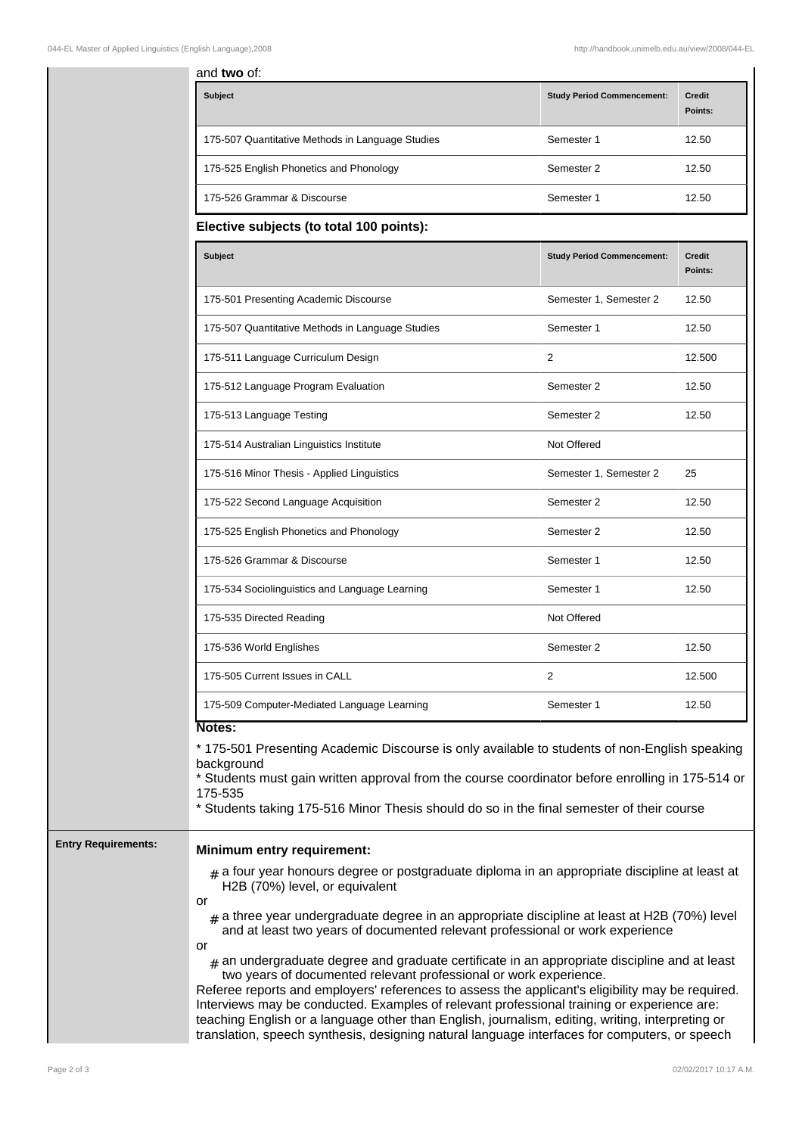|                            | and two of:                                                                                                                                                                                                                                                                                                                                                                                                                                                                                                                                                                                                                                                                                                                                                                                                                             |                                   |                          |
|----------------------------|-----------------------------------------------------------------------------------------------------------------------------------------------------------------------------------------------------------------------------------------------------------------------------------------------------------------------------------------------------------------------------------------------------------------------------------------------------------------------------------------------------------------------------------------------------------------------------------------------------------------------------------------------------------------------------------------------------------------------------------------------------------------------------------------------------------------------------------------|-----------------------------------|--------------------------|
|                            | Subject                                                                                                                                                                                                                                                                                                                                                                                                                                                                                                                                                                                                                                                                                                                                                                                                                                 | <b>Study Period Commencement:</b> | <b>Credit</b><br>Points: |
|                            | 175-507 Quantitative Methods in Language Studies                                                                                                                                                                                                                                                                                                                                                                                                                                                                                                                                                                                                                                                                                                                                                                                        | Semester 1                        | 12.50                    |
|                            | 175-525 English Phonetics and Phonology                                                                                                                                                                                                                                                                                                                                                                                                                                                                                                                                                                                                                                                                                                                                                                                                 | Semester 2                        | 12.50                    |
|                            | 175-526 Grammar & Discourse                                                                                                                                                                                                                                                                                                                                                                                                                                                                                                                                                                                                                                                                                                                                                                                                             | Semester 1                        | 12.50                    |
|                            | Elective subjects (to total 100 points):                                                                                                                                                                                                                                                                                                                                                                                                                                                                                                                                                                                                                                                                                                                                                                                                |                                   |                          |
|                            | Subject                                                                                                                                                                                                                                                                                                                                                                                                                                                                                                                                                                                                                                                                                                                                                                                                                                 | <b>Study Period Commencement:</b> | <b>Credit</b><br>Points: |
|                            | 175-501 Presenting Academic Discourse                                                                                                                                                                                                                                                                                                                                                                                                                                                                                                                                                                                                                                                                                                                                                                                                   | Semester 1, Semester 2            | 12.50                    |
|                            | 175-507 Quantitative Methods in Language Studies                                                                                                                                                                                                                                                                                                                                                                                                                                                                                                                                                                                                                                                                                                                                                                                        | Semester 1                        | 12.50                    |
|                            | 175-511 Language Curriculum Design                                                                                                                                                                                                                                                                                                                                                                                                                                                                                                                                                                                                                                                                                                                                                                                                      | 2                                 | 12.500                   |
|                            | 175-512 Language Program Evaluation                                                                                                                                                                                                                                                                                                                                                                                                                                                                                                                                                                                                                                                                                                                                                                                                     | Semester 2                        | 12.50                    |
|                            | 175-513 Language Testing                                                                                                                                                                                                                                                                                                                                                                                                                                                                                                                                                                                                                                                                                                                                                                                                                | Semester 2                        | 12.50                    |
|                            | 175-514 Australian Linguistics Institute                                                                                                                                                                                                                                                                                                                                                                                                                                                                                                                                                                                                                                                                                                                                                                                                | Not Offered                       |                          |
|                            | 175-516 Minor Thesis - Applied Linguistics                                                                                                                                                                                                                                                                                                                                                                                                                                                                                                                                                                                                                                                                                                                                                                                              | Semester 1, Semester 2            | 25                       |
|                            | 175-522 Second Language Acquisition                                                                                                                                                                                                                                                                                                                                                                                                                                                                                                                                                                                                                                                                                                                                                                                                     | Semester 2                        | 12.50                    |
|                            | 175-525 English Phonetics and Phonology                                                                                                                                                                                                                                                                                                                                                                                                                                                                                                                                                                                                                                                                                                                                                                                                 | Semester 2                        | 12.50                    |
|                            | 175-526 Grammar & Discourse                                                                                                                                                                                                                                                                                                                                                                                                                                                                                                                                                                                                                                                                                                                                                                                                             | Semester 1                        | 12.50                    |
|                            | 175-534 Sociolinguistics and Language Learning                                                                                                                                                                                                                                                                                                                                                                                                                                                                                                                                                                                                                                                                                                                                                                                          | Semester 1                        | 12.50                    |
|                            | 175-535 Directed Reading                                                                                                                                                                                                                                                                                                                                                                                                                                                                                                                                                                                                                                                                                                                                                                                                                | Not Offered                       |                          |
|                            | 175-536 World Englishes                                                                                                                                                                                                                                                                                                                                                                                                                                                                                                                                                                                                                                                                                                                                                                                                                 | Semester 2                        | 12.50                    |
|                            | 175-505 Current Issues in CALL                                                                                                                                                                                                                                                                                                                                                                                                                                                                                                                                                                                                                                                                                                                                                                                                          | 2                                 | 12.500                   |
|                            | 175-509 Computer-Mediated Language Learning                                                                                                                                                                                                                                                                                                                                                                                                                                                                                                                                                                                                                                                                                                                                                                                             | Semester 1                        | 12.50                    |
|                            | Notes:<br>* 175-501 Presenting Academic Discourse is only available to students of non-English speaking<br>background<br>* Students must gain written approval from the course coordinator before enrolling in 175-514 or<br>175-535<br>* Students taking 175-516 Minor Thesis should do so in the final semester of their course                                                                                                                                                                                                                                                                                                                                                                                                                                                                                                       |                                   |                          |
| <b>Entry Requirements:</b> | <b>Minimum entry requirement:</b>                                                                                                                                                                                                                                                                                                                                                                                                                                                                                                                                                                                                                                                                                                                                                                                                       |                                   |                          |
|                            | $_{\text{\#}}$ a four year honours degree or postgraduate diploma in an appropriate discipline at least at<br>H2B (70%) level, or equivalent<br>or<br>$_{\text{\#}}$ a three year undergraduate degree in an appropriate discipline at least at H2B (70%) level<br>and at least two years of documented relevant professional or work experience<br>or<br>$_{\#}$ an undergraduate degree and graduate certificate in an appropriate discipline and at least<br>two years of documented relevant professional or work experience.<br>Referee reports and employers' references to assess the applicant's eligibility may be required.<br>Interviews may be conducted. Examples of relevant professional training or experience are:<br>teaching English or a language other than English, journalism, editing, writing, interpreting or |                                   |                          |

translation, speech synthesis, designing natural language interfaces for computers, or speech

Page 2 of 3 02/02/2017 10:17 A.M.